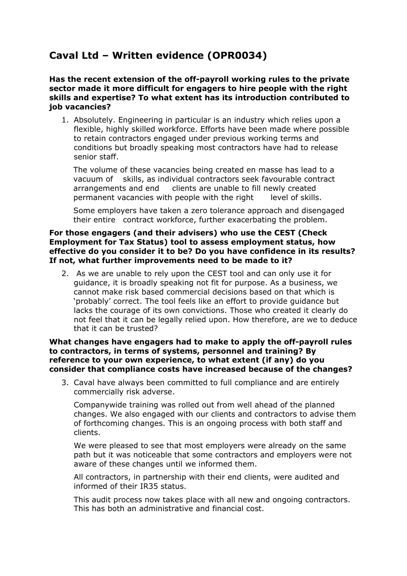# **Caval Ltd – Written evidence (OPR0034)**

**Has the recent extension of the off-payroll working rules to the private sector made it more difficult for engagers to hire people with the right skills and expertise? To what extent has its introduction contributed to job vacancies?**

1. Absolutely. Engineering in particular is an industry which relies upon a flexible, highly skilled workforce. Efforts have been made where possible to retain contractors engaged under previous working terms and conditions but broadly speaking most contractors have had to release senior staff.

The volume of these vacancies being created en masse has lead to a vacuum of skills, as individual contractors seek favourable contract arrangements and end clients are unable to fill newly created permanent vacancies with people with the right level of skills.

Some employers have taken a zero tolerance approach and disengaged their entire contract workforce, further exacerbating the problem.

#### **For those engagers (and their advisers) who use the CEST (Check Employment for Tax Status) tool to assess employment status, how effective do you consider it to be? Do you have confidence in its results? If not, what further improvements need to be made to it?**

2. As we are unable to rely upon the CEST tool and can only use it for guidance, it is broadly speaking not fit for purpose. As a business, we cannot make risk based commercial decisions based on that which is 'probably' correct. The tool feels like an effort to provide guidance but lacks the courage of its own convictions. Those who created it clearly do not feel that it can be legally relied upon. How therefore, are we to deduce that it can be trusted?

#### **What changes have engagers had to make to apply the off-payroll rules to contractors, in terms of systems, personnel and training? By reference to your own experience, to what extent (if any) do you consider that compliance costs have increased because of the changes?**

3. Caval have always been committed to full compliance and are entirely commercially risk adverse.

Companywide training was rolled out from well ahead of the planned changes. We also engaged with our clients and contractors to advise them of forthcoming changes. This is an ongoing process with both staff and clients.

We were pleased to see that most employers were already on the same path but it was noticeable that some contractors and employers were not aware of these changes until we informed them.

All contractors, in partnership with their end clients, were audited and informed of their IR35 status.

This audit process now takes place with all new and ongoing contractors. This has both an administrative and financial cost.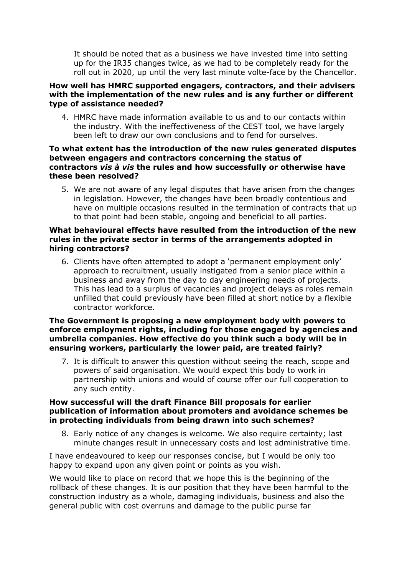It should be noted that as a business we have invested time into setting up for the IR35 changes twice, as we had to be completely ready for the roll out in 2020, up until the very last minute volte-face by the Chancellor.

## **How well has HMRC supported engagers, contractors, and their advisers with the implementation of the new rules and is any further or different type of assistance needed?**

4. HMRC have made information available to us and to our contacts within the industry. With the ineffectiveness of the CEST tool, we have largely been left to draw our own conclusions and to fend for ourselves.

## **To what extent has the introduction of the new rules generated disputes between engagers and contractors concerning the status of contractors** *vis à vis* **the rules and how successfully or otherwise have these been resolved?**

5. We are not aware of any legal disputes that have arisen from the changes in legislation. However, the changes have been broadly contentious and have on multiple occasions resulted in the termination of contracts that up to that point had been stable, ongoing and beneficial to all parties.

## **What behavioural effects have resulted from the introduction of the new rules in the private sector in terms of the arrangements adopted in hiring contractors?**

6. Clients have often attempted to adopt a 'permanent employment only' approach to recruitment, usually instigated from a senior place within a business and away from the day to day engineering needs of projects. This has lead to a surplus of vacancies and project delays as roles remain unfilled that could previously have been filled at short notice by a flexible contractor workforce.

## **The Government is proposing a new employment body with powers to enforce employment rights, including for those engaged by agencies and umbrella companies. How effective do you think such a body will be in ensuring workers, particularly the lower paid, are treated fairly?**

7. It is difficult to answer this question without seeing the reach, scope and powers of said organisation. We would expect this body to work in partnership with unions and would of course offer our full cooperation to any such entity.

#### **How successful will the draft Finance Bill proposals for earlier publication of information about promoters and avoidance schemes be in protecting individuals from being drawn into such schemes?**

8. Early notice of any changes is welcome. We also require certainty; last minute changes result in unnecessary costs and lost administrative time.

I have endeavoured to keep our responses concise, but I would be only too happy to expand upon any given point or points as you wish.

We would like to place on record that we hope this is the beginning of the rollback of these changes. It is our position that they have been harmful to the construction industry as a whole, damaging individuals, business and also the general public with cost overruns and damage to the public purse far